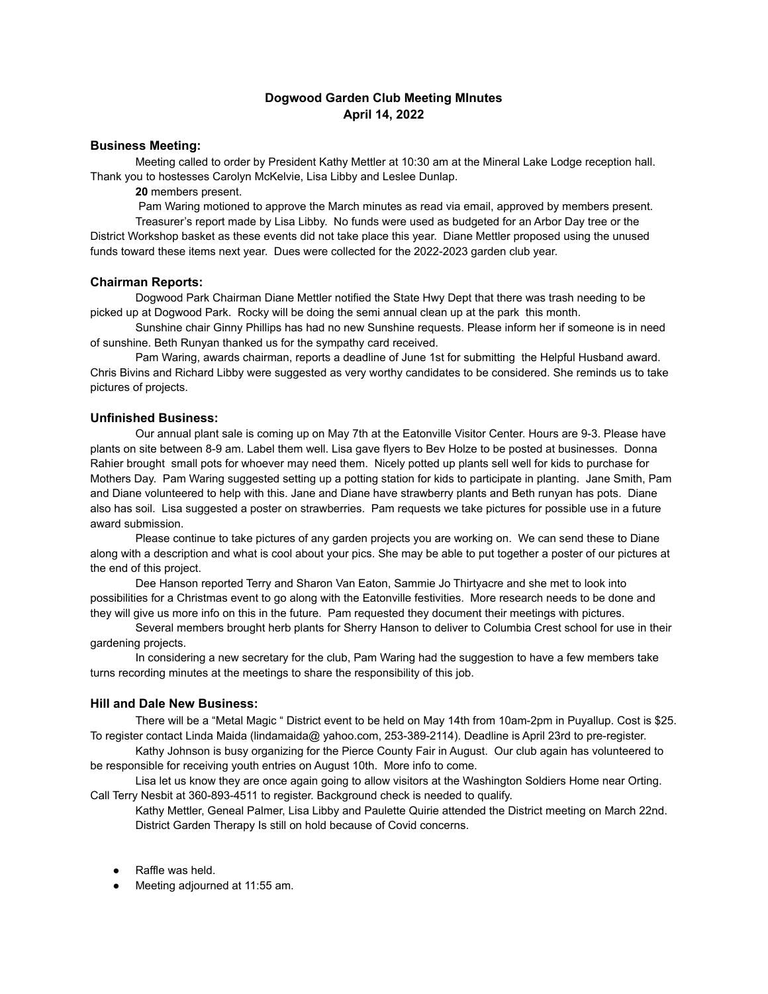# **Dogwood Garden Club Meeting MInutes April 14, 2022**

# **Business Meeting:**

Meeting called to order by President Kathy Mettler at 10:30 am at the Mineral Lake Lodge reception hall. Thank you to hostesses Carolyn McKelvie, Lisa Libby and Leslee Dunlap.

**20** members present.

Pam Waring motioned to approve the March minutes as read via email, approved by members present. Treasurer's report made by Lisa Libby. No funds were used as budgeted for an Arbor Day tree or the District Workshop basket as these events did not take place this year. Diane Mettler proposed using the unused funds toward these items next year. Dues were collected for the 2022-2023 garden club year.

### **Chairman Reports:**

Dogwood Park Chairman Diane Mettler notified the State Hwy Dept that there was trash needing to be picked up at Dogwood Park. Rocky will be doing the semi annual clean up at the park this month.

Sunshine chair Ginny Phillips has had no new Sunshine requests. Please inform her if someone is in need of sunshine. Beth Runyan thanked us for the sympathy card received.

Pam Waring, awards chairman, reports a deadline of June 1st for submitting the Helpful Husband award. Chris Bivins and Richard Libby were suggested as very worthy candidates to be considered. She reminds us to take pictures of projects.

#### **Unfinished Business:**

Our annual plant sale is coming up on May 7th at the Eatonville Visitor Center. Hours are 9-3. Please have plants on site between 8-9 am. Label them well. Lisa gave flyers to Bev Holze to be posted at businesses. Donna Rahier brought small pots for whoever may need them. Nicely potted up plants sell well for kids to purchase for Mothers Day. Pam Waring suggested setting up a potting station for kids to participate in planting. Jane Smith, Pam and Diane volunteered to help with this. Jane and Diane have strawberry plants and Beth runyan has pots. Diane also has soil. Lisa suggested a poster on strawberries. Pam requests we take pictures for possible use in a future award submission.

Please continue to take pictures of any garden projects you are working on. We can send these to Diane along with a description and what is cool about your pics. She may be able to put together a poster of our pictures at the end of this project.

Dee Hanson reported Terry and Sharon Van Eaton, Sammie Jo Thirtyacre and she met to look into possibilities for a Christmas event to go along with the Eatonville festivities. More research needs to be done and they will give us more info on this in the future. Pam requested they document their meetings with pictures.

Several members brought herb plants for Sherry Hanson to deliver to Columbia Crest school for use in their gardening projects.

In considering a new secretary for the club, Pam Waring had the suggestion to have a few members take turns recording minutes at the meetings to share the responsibility of this job.

### **Hill and Dale New Business:**

There will be a "Metal Magic " District event to be held on May 14th from 10am-2pm in Puyallup. Cost is \$25. To register contact Linda Maida (lindamaida@ yahoo.com, 253-389-2114). Deadline is April 23rd to pre-register.

Kathy Johnson is busy organizing for the Pierce County Fair in August. Our club again has volunteered to be responsible for receiving youth entries on August 10th. More info to come.

Lisa let us know they are once again going to allow visitors at the Washington Soldiers Home near Orting. Call Terry Nesbit at 360-893-4511 to register. Background check is needed to qualify.

Kathy Mettler, Geneal Palmer, Lisa Libby and Paulette Quirie attended the District meeting on March 22nd. District Garden Therapy Is still on hold because of Covid concerns.

- Raffle was held.
- Meeting adjourned at 11:55 am.